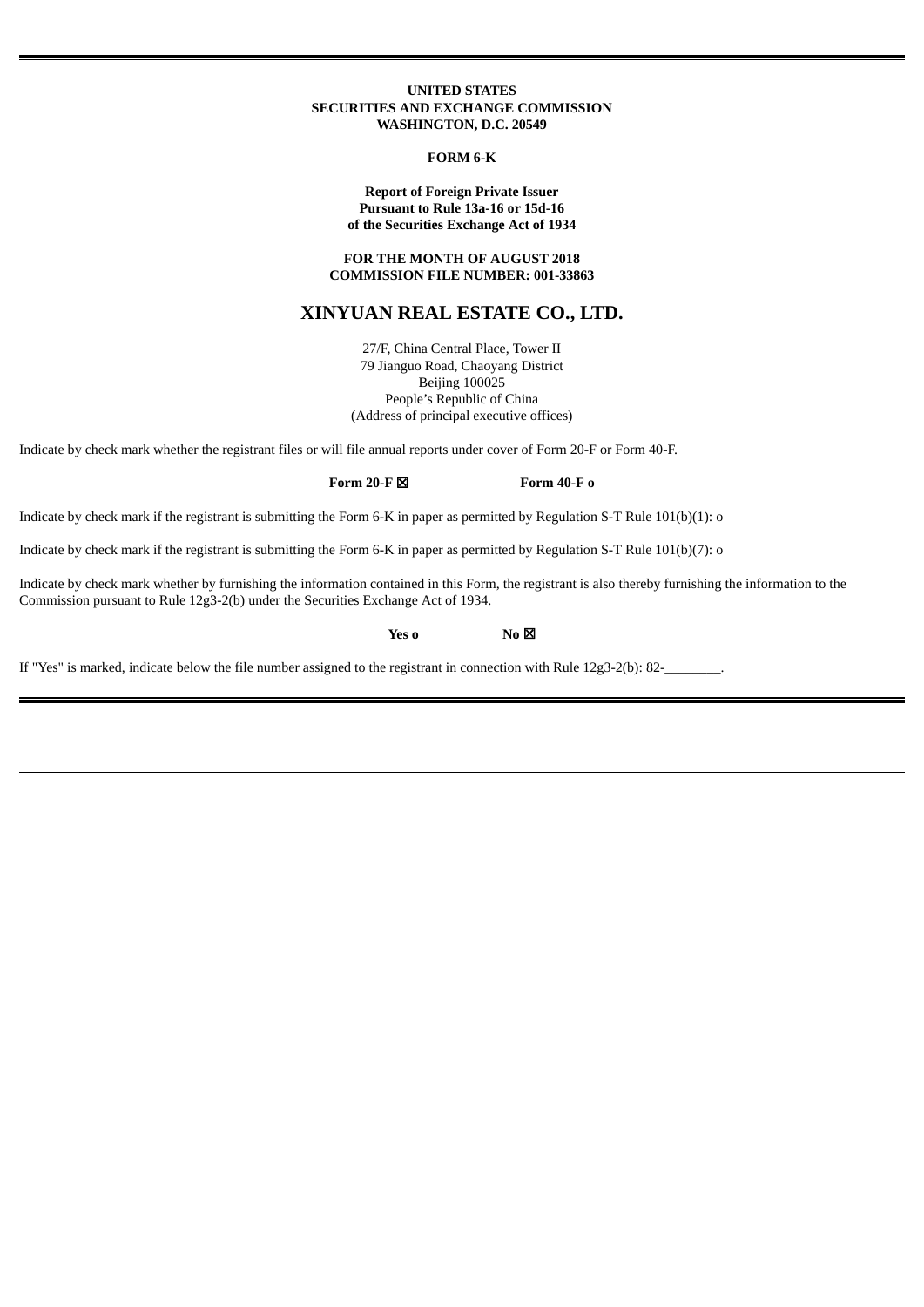## **UNITED STATES SECURITIES AND EXCHANGE COMMISSION WASHINGTON, D.C. 20549**

#### **FORM 6-K**

**Report of Foreign Private Issuer Pursuant to Rule 13a-16 or 15d-16 of the Securities Exchange Act of 1934**

## **FOR THE MONTH OF AUGUST 2018 COMMISSION FILE NUMBER: 001-33863**

# **XINYUAN REAL ESTATE CO., LTD.**

27/F, China Central Place, Tower II 79 Jianguo Road, Chaoyang District Beijing 100025 People's Republic of China (Address of principal executive offices)

Indicate by check mark whether the registrant files or will file annual reports under cover of Form 20-F or Form 40-F.

## **Form 20-F** ☒ **Form 40-F o**

Indicate by check mark if the registrant is submitting the Form 6-K in paper as permitted by Regulation S-T Rule 101(b)(1): o

Indicate by check mark if the registrant is submitting the Form 6-K in paper as permitted by Regulation S-T Rule 101(b)(7): o

Indicate by check mark whether by furnishing the information contained in this Form, the registrant is also thereby furnishing the information to the Commission pursuant to Rule 12g3-2(b) under the Securities Exchange Act of 1934.

**Yes o No**  $\boxtimes$ 

If "Yes" is marked, indicate below the file number assigned to the registrant in connection with Rule 12g3-2(b): 82-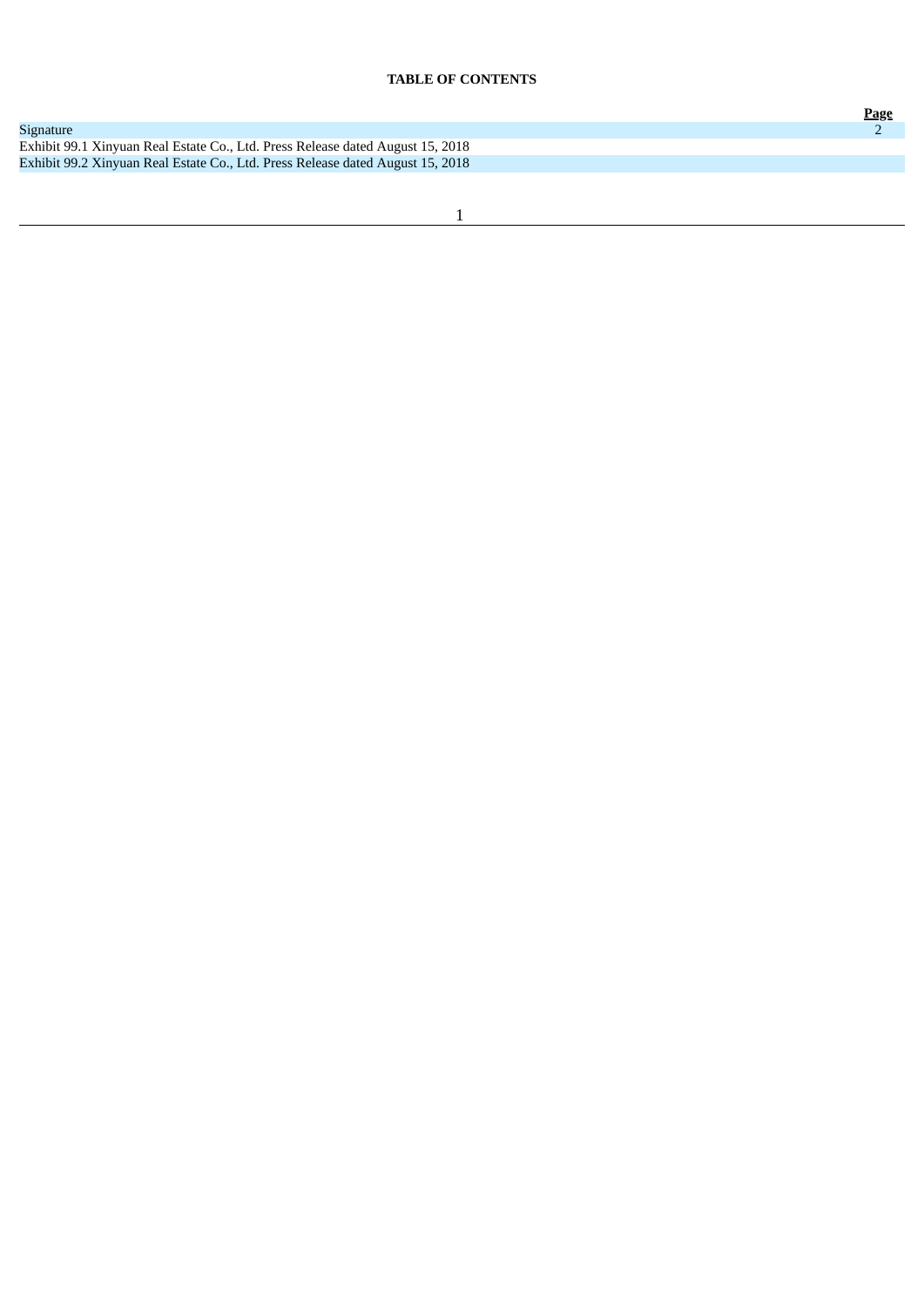# **TABLE OF CONTENTS**

|                                                                                | <b>Page</b> |
|--------------------------------------------------------------------------------|-------------|
| Signature                                                                      |             |
| Exhibit 99.1 Xinyuan Real Estate Co., Ltd. Press Release dated August 15, 2018 |             |
| Exhibit 99.2 Xinyuan Real Estate Co., Ltd. Press Release dated August 15, 2018 |             |
|                                                                                |             |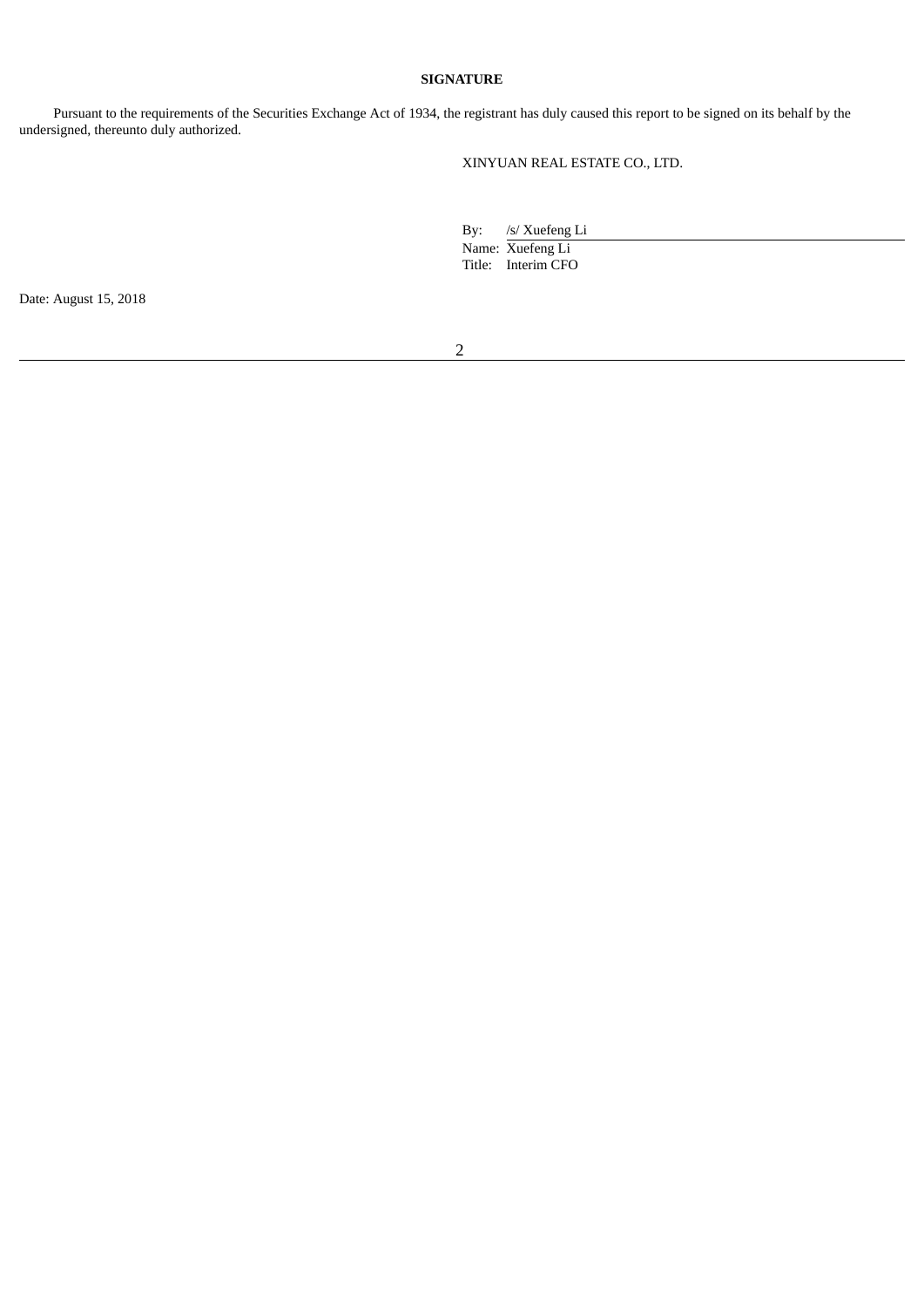## **SIGNATURE**

Pursuant to the requirements of the Securities Exchange Act of 1934, the registrant has duly caused this report to be signed on its behalf by the undersigned, thereunto duly authorized.

# XINYUAN REAL ESTATE CO., LTD.

By: /s/ Xuefeng Li

Name: Xuefeng Li Title: Interim CFO

Date: August 15, 2018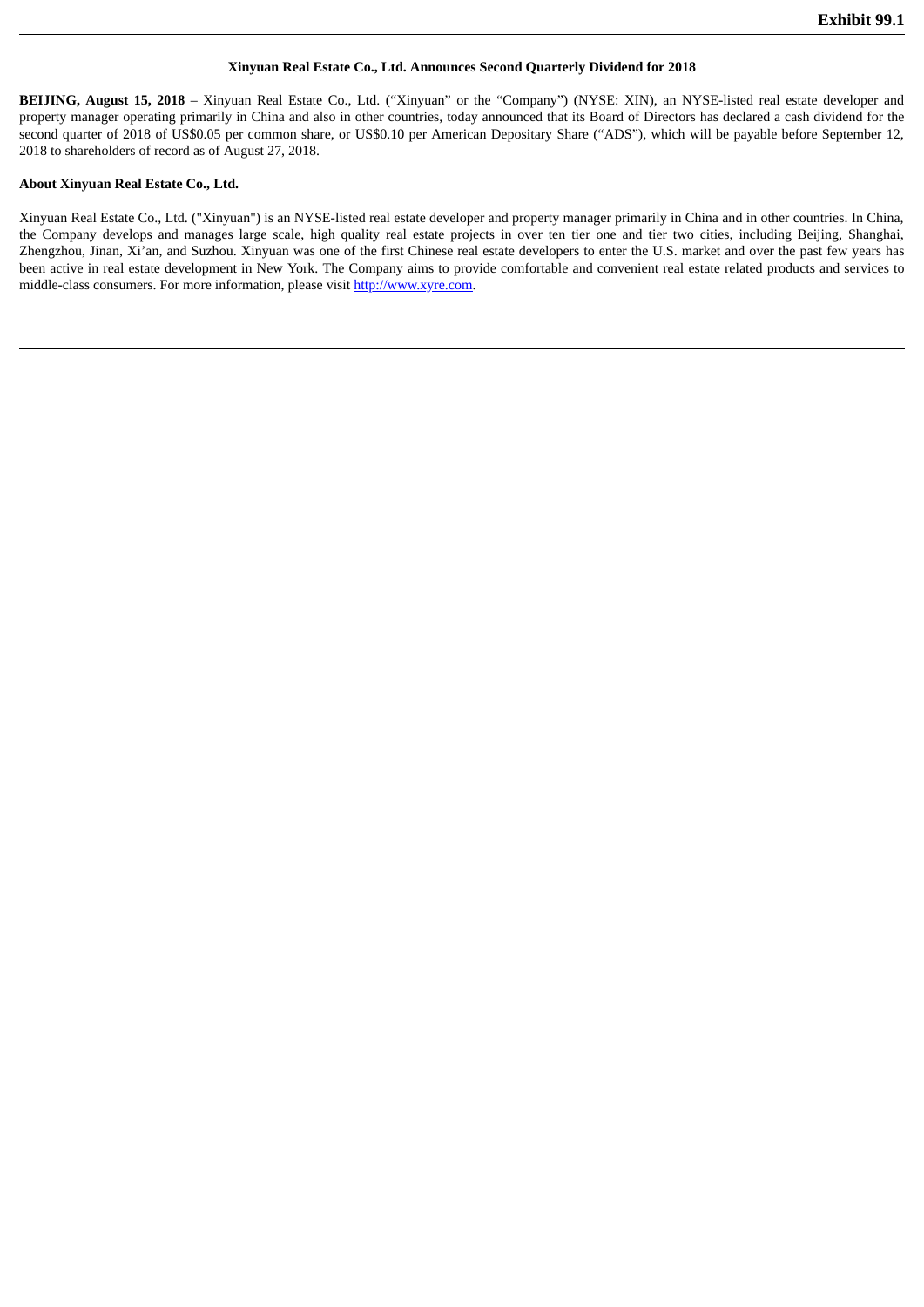## **Xinyuan Real Estate Co., Ltd. Announces Second Quarterly Dividend for 2018**

**BEIJING, August 15, 2018** – Xinyuan Real Estate Co., Ltd. ("Xinyuan" or the "Company") (NYSE: XIN), an NYSE-listed real estate developer and property manager operating primarily in China and also in other countries, today announced that its Board of Directors has declared a cash dividend for the second quarter of 2018 of US\$0.05 per common share, or US\$0.10 per American Depositary Share ("ADS"), which will be payable before September 12, 2018 to shareholders of record as of August 27, 2018.

## **About Xinyuan Real Estate Co., Ltd.**

Xinyuan Real Estate Co., Ltd. ("Xinyuan") is an NYSE-listed real estate developer and property manager primarily in China and in other countries. In China, the Company develops and manages large scale, high quality real estate projects in over ten tier one and tier two cities, including Beijing, Shanghai, Zhengzhou, Jinan, Xi'an, and Suzhou. Xinyuan was one of the first Chinese real estate developers to enter the U.S. market and over the past few years has been active in real estate development in New York. The Company aims to provide comfortable and convenient real estate related products and services to middle-class consumers. For more information, please visit http://www.xyre.com.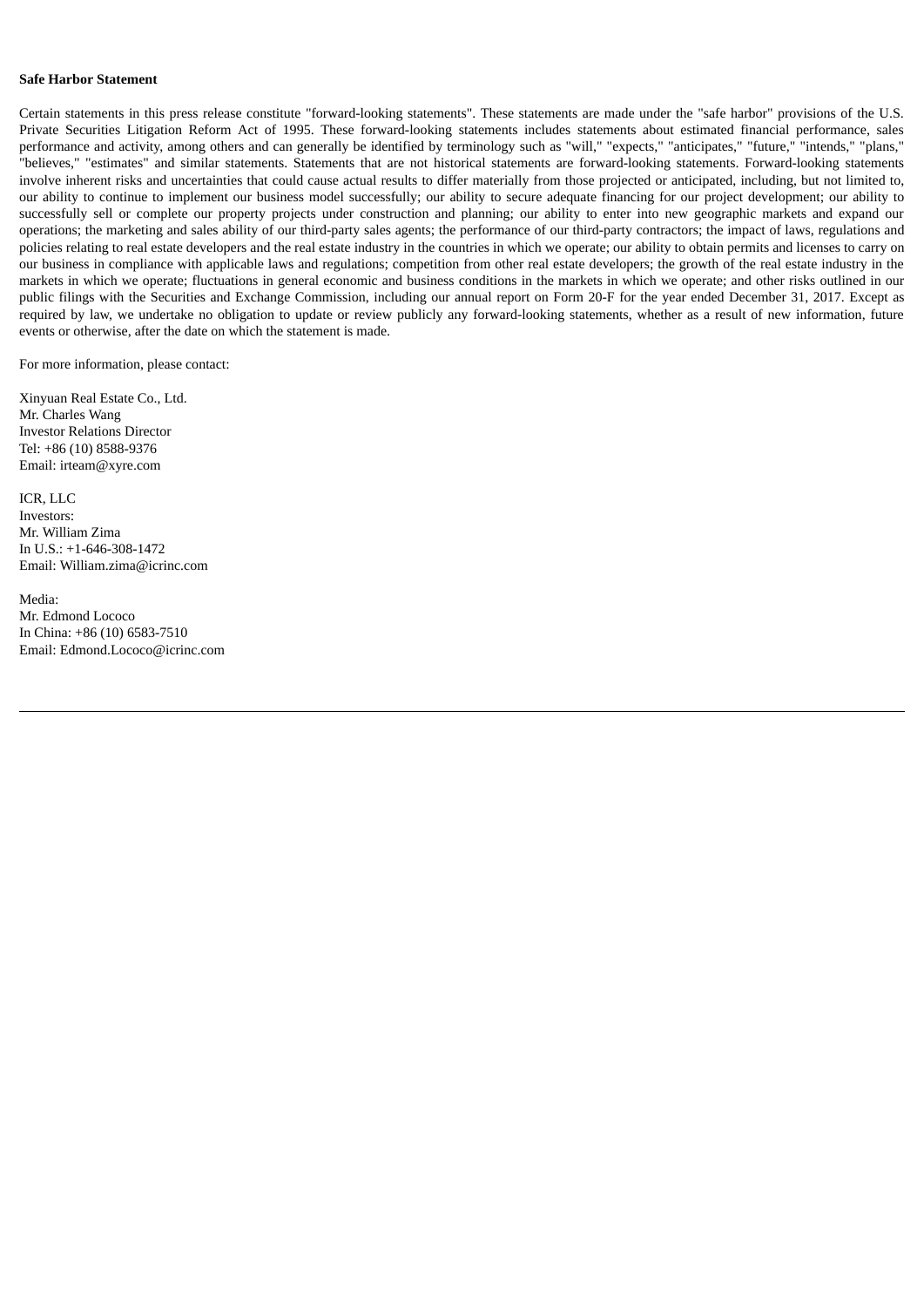#### **Safe Harbor Statement**

Certain statements in this press release constitute "forward-looking statements". These statements are made under the "safe harbor" provisions of the U.S. Private Securities Litigation Reform Act of 1995. These forward-looking statements includes statements about estimated financial performance, sales performance and activity, among others and can generally be identified by terminology such as "will," "expects," "anticipates," "future," "intends," "plans," "believes," "estimates" and similar statements. Statements that are not historical statements are forward-looking statements. Forward-looking statements involve inherent risks and uncertainties that could cause actual results to differ materially from those projected or anticipated, including, but not limited to, our ability to continue to implement our business model successfully; our ability to secure adequate financing for our project development; our ability to successfully sell or complete our property projects under construction and planning; our ability to enter into new geographic markets and expand our operations; the marketing and sales ability of our third-party sales agents; the performance of our third-party contractors; the impact of laws, regulations and policies relating to real estate developers and the real estate industry in the countries in which we operate; our ability to obtain permits and licenses to carry on our business in compliance with applicable laws and regulations; competition from other real estate developers; the growth of the real estate industry in the markets in which we operate; fluctuations in general economic and business conditions in the markets in which we operate; and other risks outlined in our public filings with the Securities and Exchange Commission, including our annual report on Form 20-F for the year ended December 31, 2017. Except as required by law, we undertake no obligation to update or review publicly any forward-looking statements, whether as a result of new information, future events or otherwise, after the date on which the statement is made.

For more information, please contact:

Xinyuan Real Estate Co., Ltd. Mr. Charles Wang Investor Relations Director Tel: +86 (10) 8588-9376 Email: irteam@xyre.com

ICR, LLC Investors: Mr. William Zima In U.S.: +1-646-308-1472 Email: William.zima@icrinc.com

Media: Mr. Edmond Lococo In China: +86 (10) 6583-7510 Email: Edmond.Lococo@icrinc.com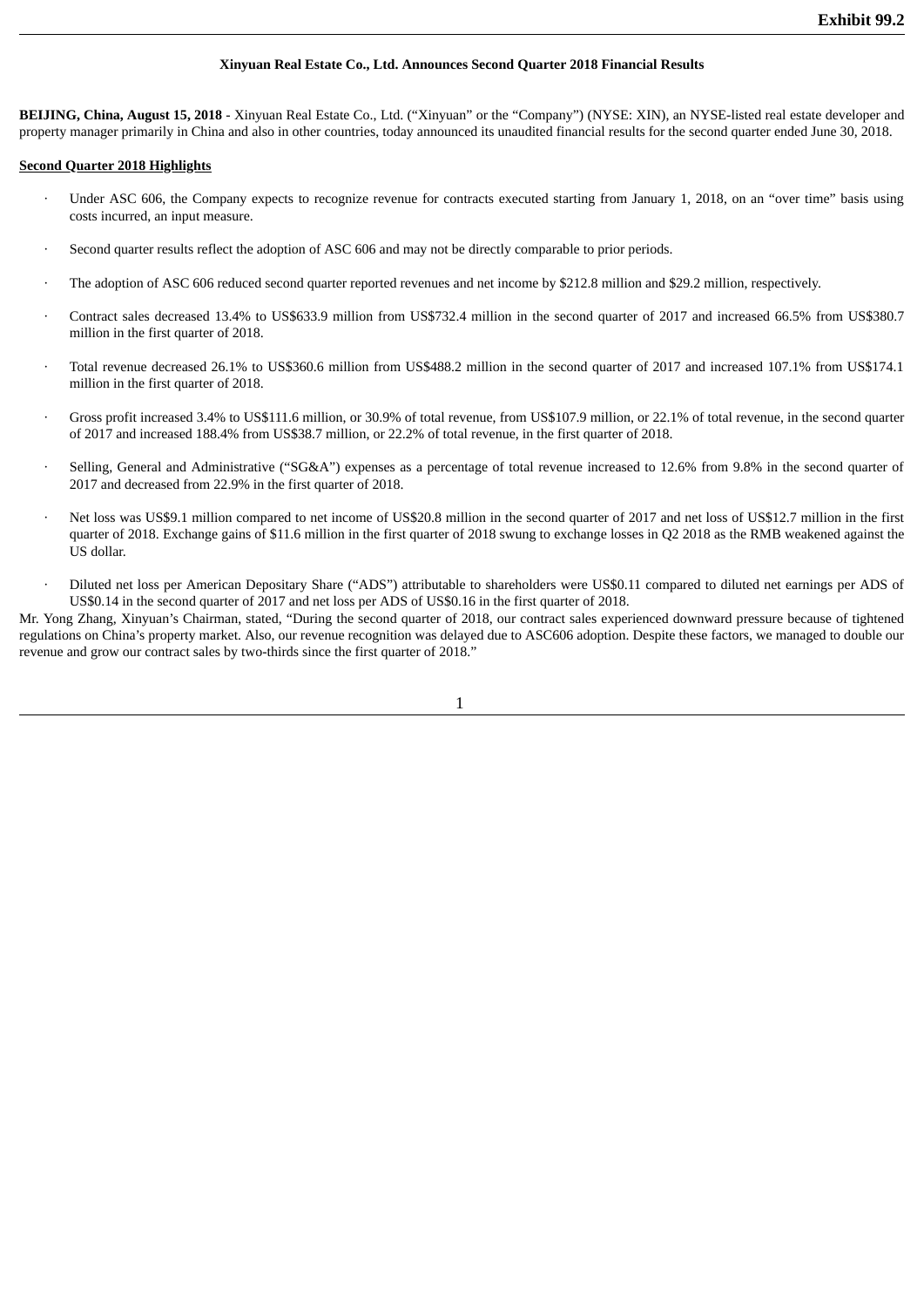## **Xinyuan Real Estate Co., Ltd. Announces Second Quarter 2018 Financial Results**

**BEIJING, China, August 15, 2018** - Xinyuan Real Estate Co., Ltd. ("Xinyuan" or the "Company") (NYSE: XIN), an NYSE-listed real estate developer and property manager primarily in China and also in other countries, today announced its unaudited financial results for the second quarter ended June 30, 2018.

## **Second Quarter 2018 Highlights**

- Under ASC 606, the Company expects to recognize revenue for contracts executed starting from January 1, 2018, on an "over time" basis using costs incurred, an input measure.
- Second quarter results reflect the adoption of ASC 606 and may not be directly comparable to prior periods.
- The adoption of ASC 606 reduced second quarter reported revenues and net income by \$212.8 million and \$29.2 million, respectively.
- · Contract sales decreased 13.4% to US\$633.9 million from US\$732.4 million in the second quarter of 2017 and increased 66.5% from US\$380.7 million in the first quarter of 2018.
- · Total revenue decreased 26.1% to US\$360.6 million from US\$488.2 million in the second quarter of 2017 and increased 107.1% from US\$174.1 million in the first quarter of 2018.
- · Gross profit increased 3.4% to US\$111.6 million, or 30.9% of total revenue, from US\$107.9 million, or 22.1% of total revenue, in the second quarter of 2017 and increased 188.4% from US\$38.7 million, or 22.2% of total revenue, in the first quarter of 2018.
- Selling, General and Administrative ("SG&A") expenses as a percentage of total revenue increased to 12.6% from 9.8% in the second quarter of 2017 and decreased from 22.9% in the first quarter of 2018.
- Net loss was US\$9.1 million compared to net income of US\$20.8 million in the second quarter of 2017 and net loss of US\$12.7 million in the first quarter of 2018. Exchange gains of \$11.6 million in the first quarter of 2018 swung to exchange losses in Q2 2018 as the RMB weakened against the US dollar.
- · Diluted net loss per American Depositary Share ("ADS") attributable to shareholders were US\$0.11 compared to diluted net earnings per ADS of US\$0.14 in the second quarter of 2017 and net loss per ADS of US\$0.16 in the first quarter of 2018.

Mr. Yong Zhang, Xinyuan's Chairman, stated, "During the second quarter of 2018, our contract sales experienced downward pressure because of tightened regulations on China's property market. Also, our revenue recognition was delayed due to ASC606 adoption. Despite these factors, we managed to double our revenue and grow our contract sales by two-thirds since the first quarter of 2018."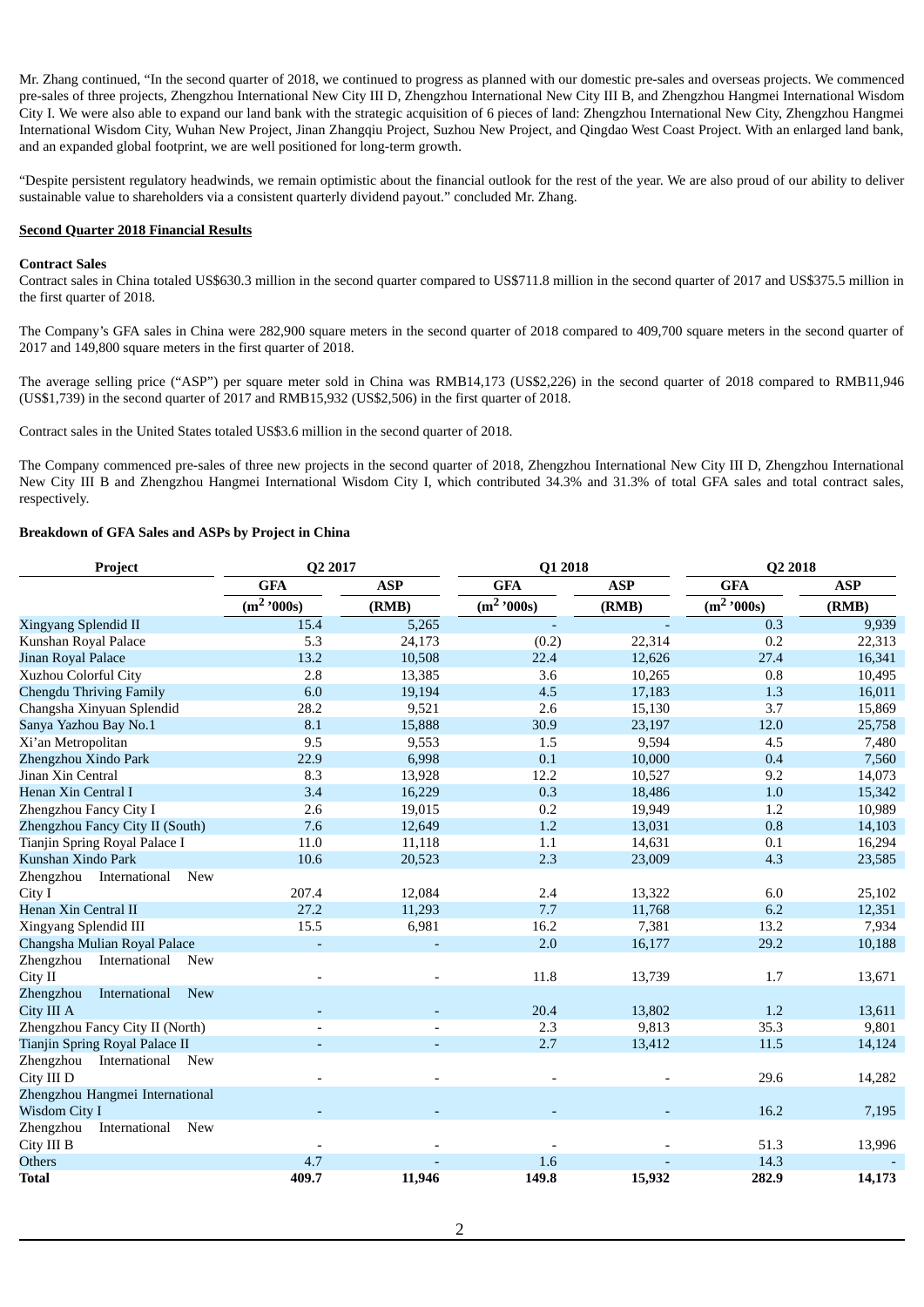Mr. Zhang continued, "In the second quarter of 2018, we continued to progress as planned with our domestic pre-sales and overseas projects. We commenced pre-sales of three projects, Zhengzhou International New City III D, Zhengzhou International New City III B, and Zhengzhou Hangmei International Wisdom City I. We were also able to expand our land bank with the strategic acquisition of 6 pieces of land: Zhengzhou International New City, Zhengzhou Hangmei International Wisdom City, Wuhan New Project, Jinan Zhangqiu Project, Suzhou New Project, and Qingdao West Coast Project. With an enlarged land bank, and an expanded global footprint, we are well positioned for long-term growth.

"Despite persistent regulatory headwinds, we remain optimistic about the financial outlook for the rest of the year. We are also proud of our ability to deliver sustainable value to shareholders via a consistent quarterly dividend payout." concluded Mr. Zhang.

## **Second Quarter 2018 Financial Results**

#### **Contract Sales**

Contract sales in China totaled US\$630.3 million in the second quarter compared to US\$711.8 million in the second quarter of 2017 and US\$375.5 million in the first quarter of 2018.

The Company's GFA sales in China were 282,900 square meters in the second quarter of 2018 compared to 409,700 square meters in the second quarter of 2017 and 149,800 square meters in the first quarter of 2018.

The average selling price ("ASP") per square meter sold in China was RMB14,173 (US\$2,226) in the second quarter of 2018 compared to RMB11,946 (US\$1,739) in the second quarter of 2017 and RMB15,932 (US\$2,506) in the first quarter of 2018.

Contract sales in the United States totaled US\$3.6 million in the second quarter of 2018.

The Company commenced pre-sales of three new projects in the second quarter of 2018, Zhengzhou International New City III D, Zhengzhou International New City III B and Zhengzhou Hangmei International Wisdom City I, which contributed 34.3% and 31.3% of total GFA sales and total contract sales, respectively.

#### **Breakdown of GFA Sales and ASPs by Project in China**

| Project                                                |               | Q2 2017<br>Q1 2018<br>Q2 2018 |               |            |               |            |
|--------------------------------------------------------|---------------|-------------------------------|---------------|------------|---------------|------------|
|                                                        | <b>GFA</b>    | <b>ASP</b>                    | <b>GFA</b>    | <b>ASP</b> | <b>GFA</b>    | <b>ASP</b> |
|                                                        | $(m^2$ '000s) | (RMB)                         | $(m^2$ '000s) | (RMB)      | $(m^2$ '000s) | (RMB)      |
| Xingyang Splendid II                                   | 15.4          | 5,265                         |               |            | 0.3           | 9,939      |
| Kunshan Royal Palace                                   | 5.3           | 24,173                        | (0.2)         | 22,314     | 0.2           | 22,313     |
| Jinan Royal Palace                                     | 13.2          | 10,508                        | 22.4          | 12,626     | 27.4          | 16,341     |
| Xuzhou Colorful City                                   | 2.8           | 13,385                        | 3.6           | 10,265     | $0.8\,$       | 10,495     |
| Chengdu Thriving Family                                | 6.0           | 19,194                        | 4.5           | 17,183     | 1.3           | 16,011     |
| Changsha Xinyuan Splendid                              | 28.2          | 9,521                         | 2.6           | 15,130     | 3.7           | 15,869     |
| Sanya Yazhou Bay No.1                                  | 8.1           | 15,888                        | 30.9          | 23,197     | 12.0          | 25,758     |
| Xi'an Metropolitan                                     | 9.5           | 9,553                         | 1.5           | 9,594      | 4.5           | 7,480      |
| Zhengzhou Xindo Park                                   | 22.9          | 6,998                         | 0.1           | 10,000     | 0.4           | 7,560      |
| Jinan Xin Central                                      | 8.3           | 13,928                        | 12.2          | 10,527     | 9.2           | 14,073     |
| Henan Xin Central I                                    | 3.4           | 16,229                        | 0.3           | 18,486     | 1.0           | 15,342     |
| Zhengzhou Fancy City I                                 | 2.6           | 19,015                        | 0.2           | 19,949     | 1.2           | 10,989     |
| Zhengzhou Fancy City II (South)                        | 7.6           | 12,649                        | $1.2\,$       | 13,031     | 0.8           | 14,103     |
| Tianjin Spring Royal Palace I                          | 11.0          | 11,118                        | 1.1           | 14,631     | 0.1           | 16,294     |
| Kunshan Xindo Park                                     | 10.6          | 20,523                        | 2.3           | 23,009     | 4.3           | 23,585     |
| Zhengzhou<br>International<br>New                      |               |                               |               |            |               |            |
| City I                                                 | 207.4         | 12,084                        | 2.4           | 13,322     | 6.0           | 25,102     |
| Henan Xin Central II                                   | 27.2          | 11,293                        | 7.7           | 11,768     | 6.2           | 12,351     |
| Xingyang Splendid III                                  | 15.5          | 6,981                         | 16.2          | 7,381      | 13.2          | 7,934      |
| Changsha Mulian Royal Palace                           |               |                               | 2.0           | 16,177     | 29.2          | 10,188     |
| Zhengzhou<br>International<br>New                      |               |                               |               |            |               |            |
| City II                                                |               |                               | 11.8          | 13,739     | 1.7           | 13,671     |
| Zhengzhou<br>International<br><b>New</b>               |               |                               |               |            |               |            |
| City III A                                             |               |                               | 20.4          | 13,802     | 1.2           | 13,611     |
| Zhengzhou Fancy City II (North)                        |               |                               | 2.3           | 9,813      | 35.3          | 9,801      |
| Tianjin Spring Royal Palace II                         |               |                               | 2.7           | 13,412     | 11.5          | 14,124     |
| Zhengzhou<br>International<br>New                      |               |                               |               |            |               |            |
| City III D                                             |               |                               |               |            | 29.6          | 14,282     |
| Zhengzhou Hangmei International                        |               |                               |               |            | 16.2          |            |
| Wisdom City I                                          |               |                               |               |            |               | 7,195      |
| Zhengzhou<br>International<br><b>New</b><br>City III B |               |                               |               |            | 51.3          | 13,996     |
| <b>Others</b>                                          | 4.7           |                               | 1.6           |            | 14.3          |            |
| <b>Total</b>                                           | 409.7         | 11,946                        | 149.8         | 15,932     | 282.9         | 14,173     |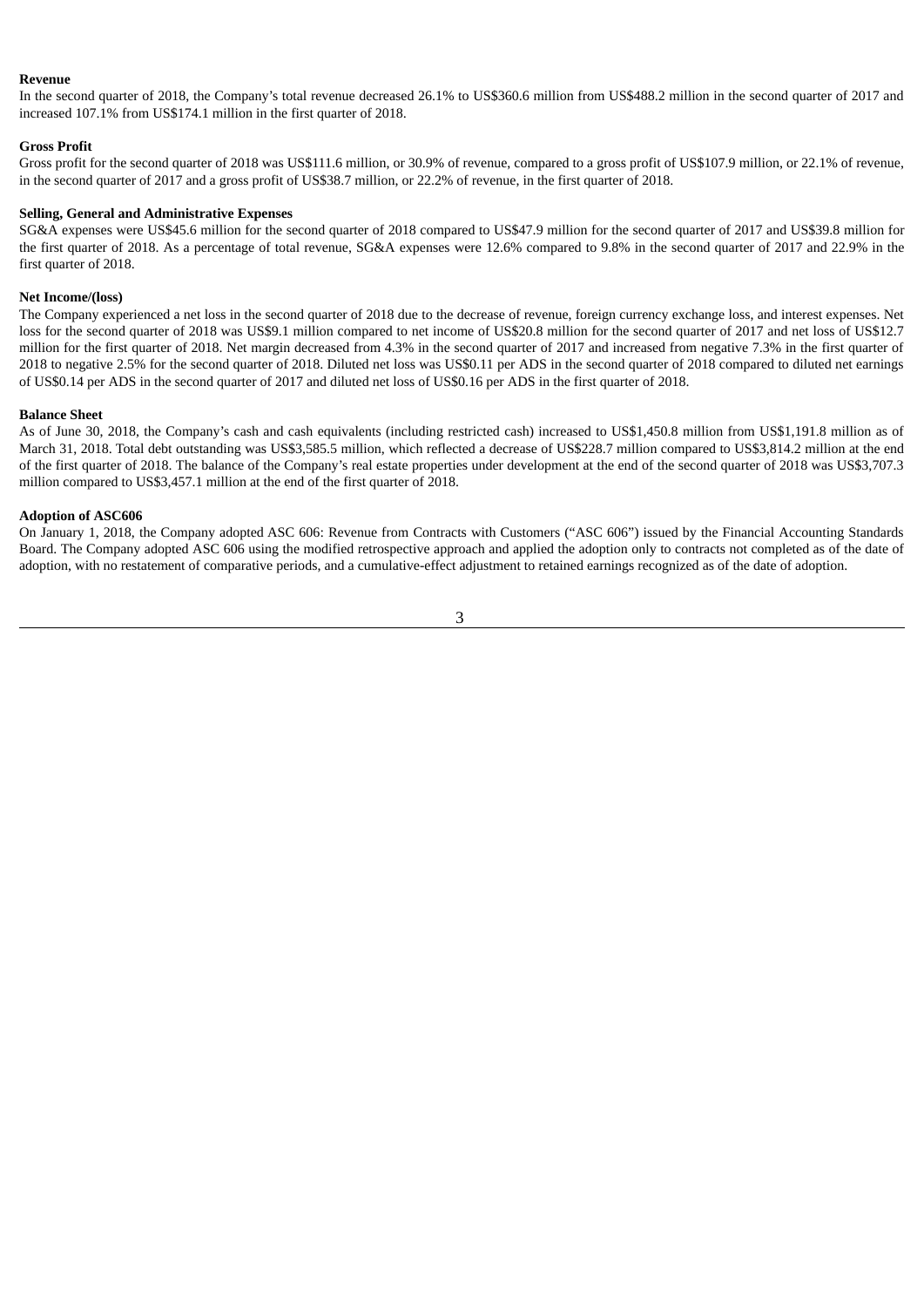#### **Revenue**

In the second quarter of 2018, the Company's total revenue decreased 26.1% to US\$360.6 million from US\$488.2 million in the second quarter of 2017 and increased 107.1% from US\$174.1 million in the first quarter of 2018.

## **Gross Profit**

Gross profit for the second quarter of 2018 was US\$111.6 million, or 30.9% of revenue, compared to a gross profit of US\$107.9 million, or 22.1% of revenue, in the second quarter of 2017 and a gross profit of US\$38.7 million, or 22.2% of revenue, in the first quarter of 2018.

### **Selling, General and Administrative Expenses**

SG&A expenses were US\$45.6 million for the second quarter of 2018 compared to US\$47.9 million for the second quarter of 2017 and US\$39.8 million for the first quarter of 2018. As a percentage of total revenue, SG&A expenses were 12.6% compared to 9.8% in the second quarter of 2017 and 22.9% in the first quarter of 2018.

## **Net Income/(loss)**

The Company experienced a net loss in the second quarter of 2018 due to the decrease of revenue, foreign currency exchange loss, and interest expenses. Net loss for the second quarter of 2018 was US\$9.1 million compared to net income of US\$20.8 million for the second quarter of 2017 and net loss of US\$12.7 million for the first quarter of 2018. Net margin decreased from 4.3% in the second quarter of 2017 and increased from negative 7.3% in the first quarter of 2018 to negative 2.5% for the second quarter of 2018. Diluted net loss was US\$0.11 per ADS in the second quarter of 2018 compared to diluted net earnings of US\$0.14 per ADS in the second quarter of 2017 and diluted net loss of US\$0.16 per ADS in the first quarter of 2018.

### **Balance Sheet**

As of June 30, 2018, the Company's cash and cash equivalents (including restricted cash) increased to US\$1,450.8 million from US\$1,191.8 million as of March 31, 2018. Total debt outstanding was US\$3,585.5 million, which reflected a decrease of US\$228.7 million compared to US\$3,814.2 million at the end of the first quarter of 2018. The balance of the Company's real estate properties under development at the end of the second quarter of 2018 was US\$3,707.3 million compared to US\$3,457.1 million at the end of the first quarter of 2018.

## **Adoption of ASC606**

On January 1, 2018, the Company adopted ASC 606: Revenue from Contracts with Customers ("ASC 606") issued by the Financial Accounting Standards Board. The Company adopted ASC 606 using the modified retrospective approach and applied the adoption only to contracts not completed as of the date of adoption, with no restatement of comparative periods, and a cumulative-effect adjustment to retained earnings recognized as of the date of adoption.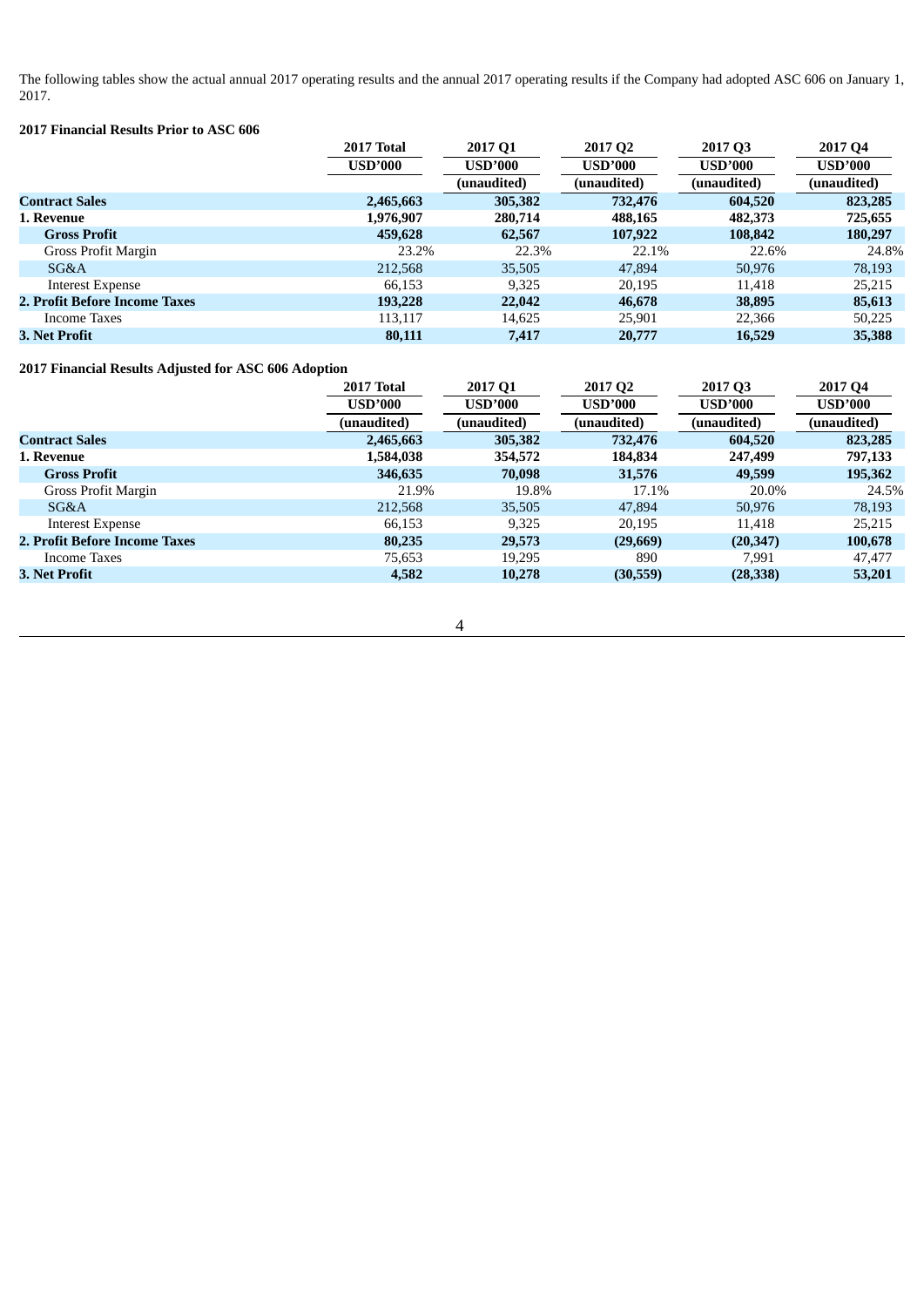The following tables show the actual annual 2017 operating results and the annual 2017 operating results if the Company had adopted ASC 606 on January 1, 2017.

## **2017 Financial Results Prior to ASC 606**

|                               | 2017 Total     | 2017 Q1        | 2017 Q <sub>2</sub> | 2017 Q3        | 2017 Q4        |
|-------------------------------|----------------|----------------|---------------------|----------------|----------------|
|                               | <b>USD'000</b> | <b>USD'000</b> | <b>USD'000</b>      | <b>USD'000</b> | <b>USD'000</b> |
|                               |                | (unaudited)    | (unaudited)         | (unaudited)    | (unaudited)    |
| <b>Contract Sales</b>         | 2,465,663      | 305,382        | 732,476             | 604,520        | 823,285        |
| 1. Revenue                    | 1,976,907      | 280,714        | 488.165             | 482,373        | 725,655        |
| <b>Gross Profit</b>           | 459,628        | 62,567         | 107,922             | 108,842        | 180,297        |
| Gross Profit Margin           | 23.2%          | 22.3%          | 22.1%               | 22.6%          | 24.8%          |
| SG&A                          | 212,568        | 35,505         | 47,894              | 50,976         | 78,193         |
| <b>Interest Expense</b>       | 66,153         | 9.325          | 20,195              | 11,418         | 25,215         |
| 2. Profit Before Income Taxes | 193,228        | 22,042         | 46,678              | 38,895         | 85,613         |
| Income Taxes                  | 113,117        | 14,625         | 25,901              | 22,366         | 50,225         |
| <b>3. Net Profit</b>          | 80,111         | 7,417          | 20,777              | 16,529         | 35,388         |

# **2017 Financial Results Adjusted for ASC 606 Adoption**

|                               | 2017 Total     | 2017 Q1        | 2017 Q <sub>2</sub> | 2017 Q3        | 2017 Q4        |
|-------------------------------|----------------|----------------|---------------------|----------------|----------------|
|                               | <b>USD'000</b> | <b>USD'000</b> | <b>USD'000</b>      | <b>USD'000</b> | <b>USD'000</b> |
|                               | (unaudited)    | (unaudited)    | (unaudited)         | (unaudited)    | (unaudited)    |
| <b>Contract Sales</b>         | 2,465,663      | 305,382        | 732,476             | 604,520        | 823,285        |
| 1. Revenue                    | 1,584,038      | 354,572        | 184,834             | 247,499        | 797,133        |
| <b>Gross Profit</b>           | 346,635        | 70,098         | 31,576              | 49,599         | 195,362        |
| Gross Profit Margin           | 21.9%          | 19.8%          | 17.1%               | 20.0%          | 24.5%          |
| SG&A                          | 212,568        | 35,505         | 47,894              | 50,976         | 78,193         |
| Interest Expense              | 66.153         | 9.325          | 20.195              | 11.418         | 25,215         |
| 2. Profit Before Income Taxes | 80,235         | 29,573         | (29,669)            | (20, 347)      | 100,678        |
| Income Taxes                  | 75,653         | 19,295         | 890                 | 7,991          | 47,477         |
| 3. Net Profit                 | 4,582          | 10,278         | (30, 559)           | (28, 338)      | 53,201         |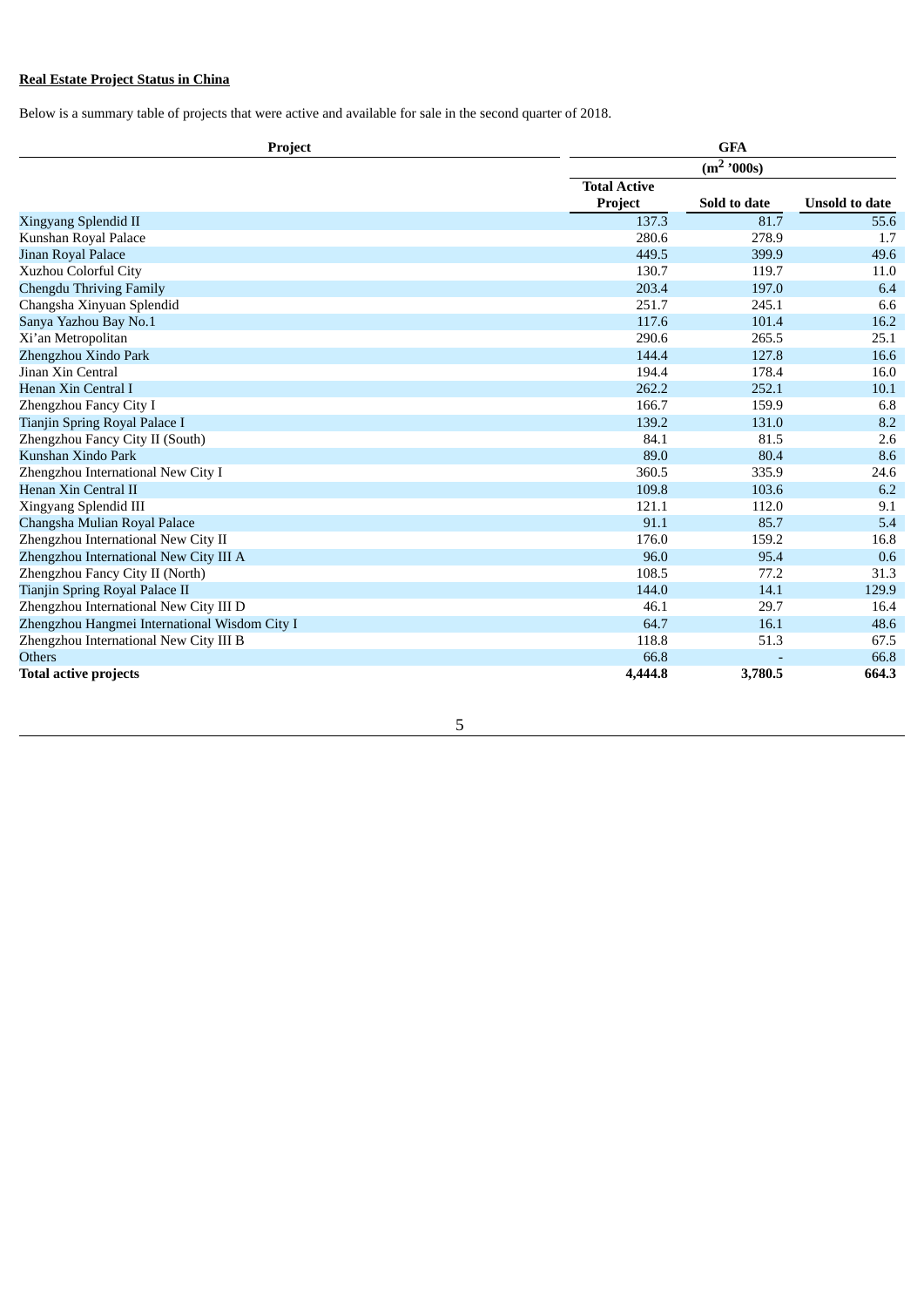# **Real Estate Project Status in China**

Below is a summary table of projects that were active and available for sale in the second quarter of 2018.

| Project                                       |                     | <b>GFA</b>    |                       |  |  |
|-----------------------------------------------|---------------------|---------------|-----------------------|--|--|
|                                               |                     | $(m^2$ '000s) |                       |  |  |
|                                               | <b>Total Active</b> |               |                       |  |  |
|                                               | Project             | Sold to date  | <b>Unsold to date</b> |  |  |
| Xingyang Splendid II                          | 137.3               | 81.7          | 55.6                  |  |  |
| Kunshan Royal Palace                          | 280.6               | 278.9         | 1.7                   |  |  |
| Jinan Royal Palace                            | 449.5               | 399.9         | 49.6                  |  |  |
| Xuzhou Colorful City                          | 130.7               | 119.7         | 11.0                  |  |  |
| Chengdu Thriving Family                       | 203.4               | 197.0         | 6.4                   |  |  |
| Changsha Xinyuan Splendid                     | 251.7               | 245.1         | 6.6                   |  |  |
| Sanya Yazhou Bay No.1                         | 117.6               | 101.4         | 16.2                  |  |  |
| Xi'an Metropolitan                            | 290.6               | 265.5         | 25.1                  |  |  |
| Zhengzhou Xindo Park                          | 144.4               | 127.8         | 16.6                  |  |  |
| Jinan Xin Central                             | 194.4               | 178.4         | 16.0                  |  |  |
| Henan Xin Central I                           | 262.2               | 252.1         | 10.1                  |  |  |
| Zhengzhou Fancy City I                        | 166.7               | 159.9         | 6.8                   |  |  |
| Tianjin Spring Royal Palace I                 | 139.2               | 131.0         | 8.2                   |  |  |
| Zhengzhou Fancy City II (South)               | 84.1                | 81.5          | 2.6                   |  |  |
| Kunshan Xindo Park                            | 89.0                | 80.4          | 8.6                   |  |  |
| Zhengzhou International New City I            | 360.5               | 335.9         | 24.6                  |  |  |
| Henan Xin Central II                          | 109.8               | 103.6         | 6.2                   |  |  |
| Xingyang Splendid III                         | 121.1               | 112.0         | 9.1                   |  |  |
| Changsha Mulian Royal Palace                  | 91.1                | 85.7          | 5.4                   |  |  |
| Zhengzhou International New City II           | 176.0               | 159.2         | 16.8                  |  |  |
| Zhengzhou International New City III A        | 96.0                | 95.4          | 0.6                   |  |  |
| Zhengzhou Fancy City II (North)               | 108.5               | 77.2          | 31.3                  |  |  |
| Tianjin Spring Royal Palace II                | 144.0               | 14.1          | 129.9                 |  |  |
| Zhengzhou International New City III D        | 46.1                | 29.7          | 16.4                  |  |  |
| Zhengzhou Hangmei International Wisdom City I | 64.7                | 16.1          | 48.6                  |  |  |
| Zhengzhou International New City III B        | 118.8               | 51.3          | 67.5                  |  |  |
| <b>Others</b>                                 | 66.8                |               | 66.8                  |  |  |
| <b>Total active projects</b>                  | 4,444.8             | 3,780.5       | 664.3                 |  |  |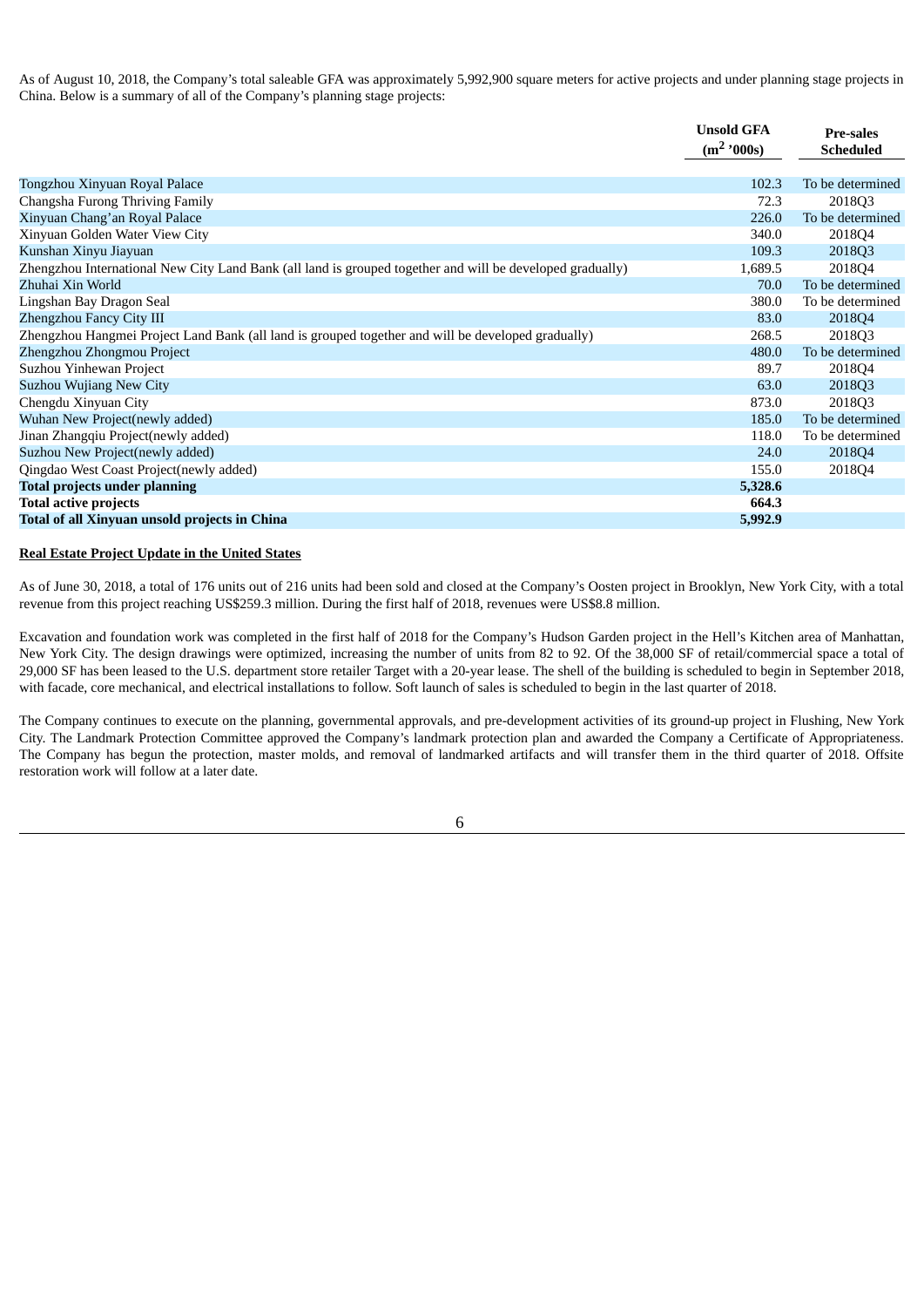As of August 10, 2018, the Company's total saleable GFA was approximately 5,992,900 square meters for active projects and under planning stage projects in China. Below is a summary of all of the Company's planning stage projects:

|                                                                                                           | <b>Unsold GFA</b><br>$(m^2$ '000s) | <b>Pre-sales</b><br><b>Scheduled</b> |
|-----------------------------------------------------------------------------------------------------------|------------------------------------|--------------------------------------|
|                                                                                                           |                                    |                                      |
| Tongzhou Xinyuan Royal Palace                                                                             | 102.3                              | To be determined                     |
| Changsha Furong Thriving Family                                                                           | 72.3                               | 2018Q3                               |
| Xinyuan Chang'an Royal Palace                                                                             | 226.0                              | To be determined                     |
| Xinyuan Golden Water View City                                                                            | 340.0                              | 2018Q4                               |
| Kunshan Xinyu Jiayuan                                                                                     | 109.3                              | 2018Q3                               |
| Zhengzhou International New City Land Bank (all land is grouped together and will be developed gradually) | 1,689.5                            | 2018Q4                               |
| Zhuhai Xin World                                                                                          | 70.0                               | To be determined                     |
| Lingshan Bay Dragon Seal                                                                                  | 380.0                              | To be determined                     |
| Zhengzhou Fancy City III                                                                                  | 83.0                               | 201804                               |
| Zhengzhou Hangmei Project Land Bank (all land is grouped together and will be developed gradually)        | 268.5                              | 2018Q3                               |
| Zhengzhou Zhongmou Project                                                                                | 480.0                              | To be determined                     |
| Suzhou Yinhewan Project                                                                                   | 89.7                               | 2018Q4                               |
| Suzhou Wujiang New City                                                                                   | 63.0                               | 2018Q3                               |
| Chengdu Xinyuan City                                                                                      | 873.0                              | 2018Q3                               |
| Wuhan New Project(newly added)                                                                            | 185.0                              | To be determined                     |
| Jinan Zhangqiu Project(newly added)                                                                       | 118.0                              | To be determined                     |
| Suzhou New Project(newly added)                                                                           | 24.0                               | 2018Q4                               |
| Qingdao West Coast Project(newly added)                                                                   | 155.0                              | 2018Q4                               |
| <b>Total projects under planning</b>                                                                      | 5,328.6                            |                                      |
| <b>Total active projects</b>                                                                              | 664.3                              |                                      |
| Total of all Xinyuan unsold projects in China                                                             | 5,992.9                            |                                      |

### **Real Estate Project Update in the United States**

As of June 30, 2018, a total of 176 units out of 216 units had been sold and closed at the Company's Oosten project in Brooklyn, New York City, with a total revenue from this project reaching US\$259.3 million. During the first half of 2018, revenues were US\$8.8 million.

Excavation and foundation work was completed in the first half of 2018 for the Company's Hudson Garden project in the Hell's Kitchen area of Manhattan, New York City. The design drawings were optimized, increasing the number of units from 82 to 92. Of the 38,000 SF of retail/commercial space a total of 29,000 SF has been leased to the U.S. department store retailer Target with a 20-year lease. The shell of the building is scheduled to begin in September 2018, with facade, core mechanical, and electrical installations to follow. Soft launch of sales is scheduled to begin in the last quarter of 2018.

The Company continues to execute on the planning, governmental approvals, and pre-development activities of its ground-up project in Flushing, New York City. The Landmark Protection Committee approved the Company's landmark protection plan and awarded the Company a Certificate of Appropriateness. The Company has begun the protection, master molds, and removal of landmarked artifacts and will transfer them in the third quarter of 2018. Offsite restoration work will follow at a later date.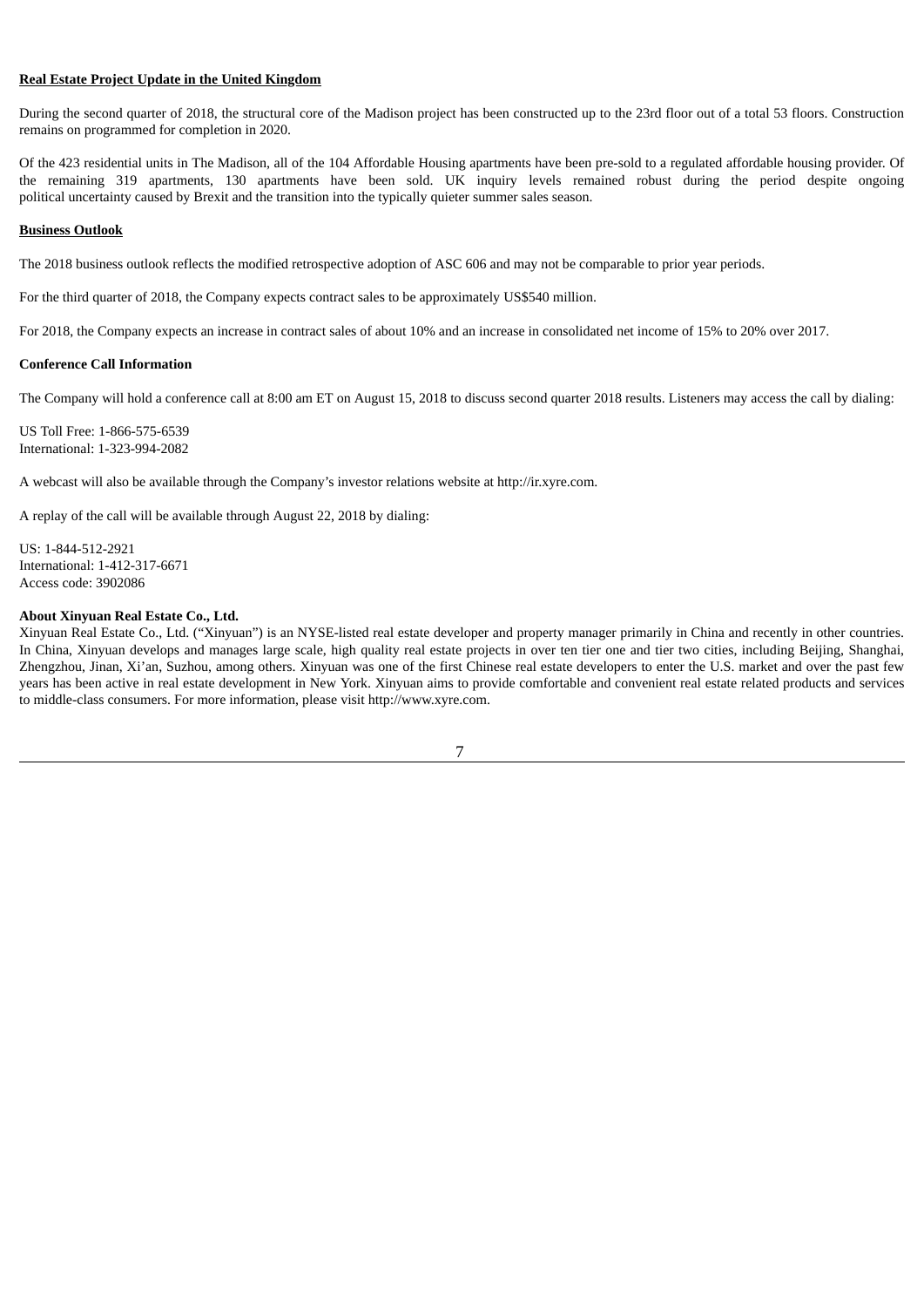## **Real Estate Project Update in the United Kingdom**

During the second quarter of 2018, the structural core of the Madison project has been constructed up to the 23rd floor out of a total 53 floors. Construction remains on programmed for completion in 2020.

Of the 423 residential units in The Madison, all of the 104 Affordable Housing apartments have been pre-sold to a regulated affordable housing provider. Of the remaining 319 apartments, 130 apartments have been sold. UK inquiry levels remained robust during the period despite ongoing political uncertainty caused by Brexit and the transition into the typically quieter summer sales season.

#### **Business Outlook**

The 2018 business outlook reflects the modified retrospective adoption of ASC 606 and may not be comparable to prior year periods.

For the third quarter of 2018, the Company expects contract sales to be approximately US\$540 million.

For 2018, the Company expects an increase in contract sales of about 10% and an increase in consolidated net income of 15% to 20% over 2017.

## **Conference Call Information**

The Company will hold a conference call at 8:00 am ET on August 15, 2018 to discuss second quarter 2018 results. Listeners may access the call by dialing:

US Toll Free: 1-866-575-6539 International: 1-323-994-2082

A webcast will also be available through the Company's investor relations website at http://ir.xyre.com.

A replay of the call will be available through August 22, 2018 by dialing:

US: 1-844-512-2921 International: 1-412-317-6671 Access code: 3902086

#### **About Xinyuan Real Estate Co., Ltd.**

Xinyuan Real Estate Co., Ltd. ("Xinyuan") is an NYSE-listed real estate developer and property manager primarily in China and recently in other countries. In China, Xinyuan develops and manages large scale, high quality real estate projects in over ten tier one and tier two cities, including Beijing, Shanghai, Zhengzhou, Jinan, Xi'an, Suzhou, among others. Xinyuan was one of the first Chinese real estate developers to enter the U.S. market and over the past few years has been active in real estate development in New York. Xinyuan aims to provide comfortable and convenient real estate related products and services to middle-class consumers. For more information, please visit http://www.xyre.com.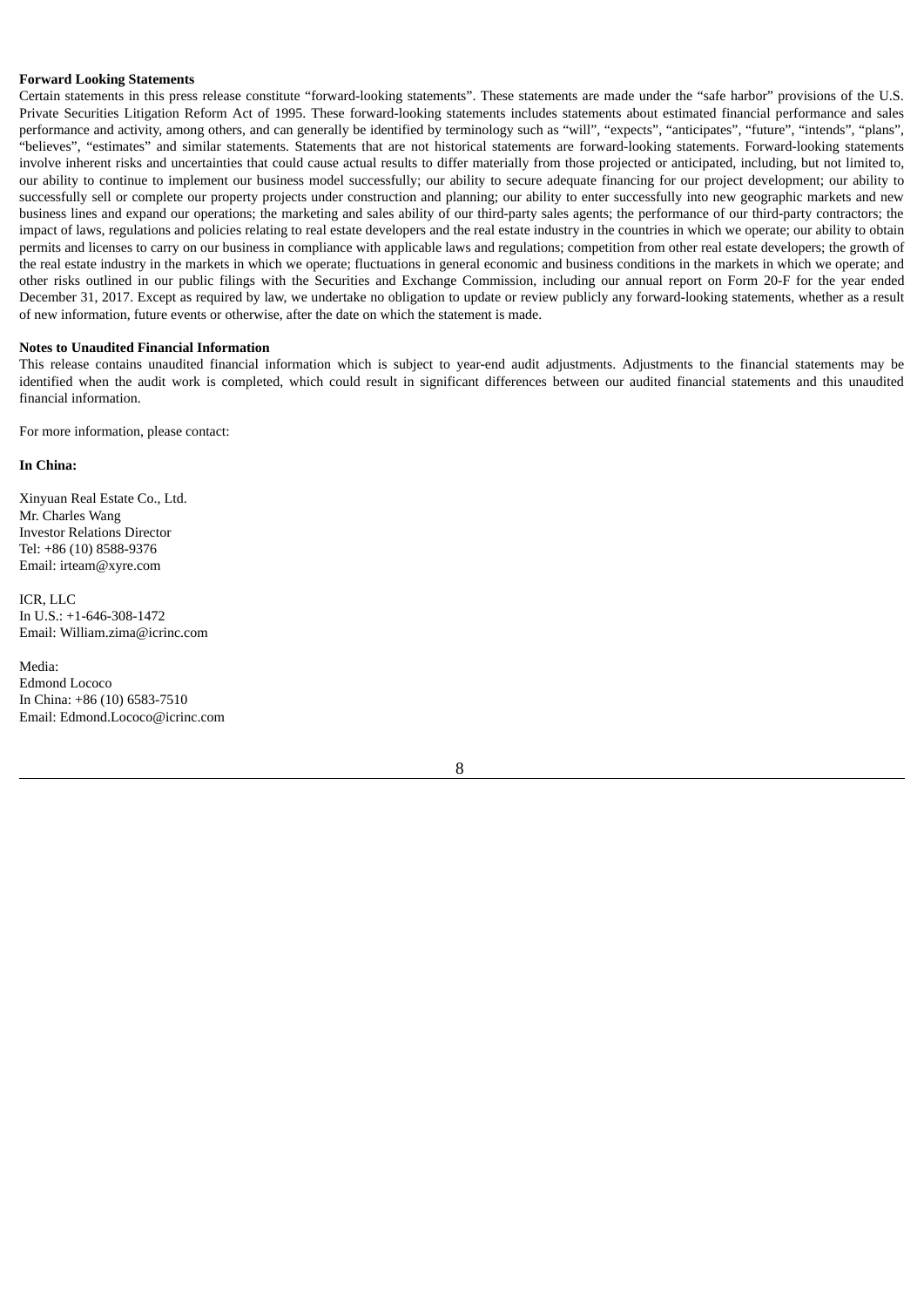## **Forward Looking Statements**

Certain statements in this press release constitute "forward-looking statements". These statements are made under the "safe harbor" provisions of the U.S. Private Securities Litigation Reform Act of 1995. These forward-looking statements includes statements about estimated financial performance and sales performance and activity, among others, and can generally be identified by terminology such as "will", "expects", "anticipates", "future", "intends", "plans", "believes", "estimates" and similar statements. Statements that are not historical statements are forward-looking statements. Forward-looking statements involve inherent risks and uncertainties that could cause actual results to differ materially from those projected or anticipated, including, but not limited to, our ability to continue to implement our business model successfully; our ability to secure adequate financing for our project development; our ability to successfully sell or complete our property projects under construction and planning; our ability to enter successfully into new geographic markets and new business lines and expand our operations; the marketing and sales ability of our third-party sales agents; the performance of our third-party contractors; the impact of laws, regulations and policies relating to real estate developers and the real estate industry in the countries in which we operate; our ability to obtain permits and licenses to carry on our business in compliance with applicable laws and regulations; competition from other real estate developers; the growth of the real estate industry in the markets in which we operate; fluctuations in general economic and business conditions in the markets in which we operate; and other risks outlined in our public filings with the Securities and Exchange Commission, including our annual report on Form 20-F for the year ended December 31, 2017. Except as required by law, we undertake no obligation to update or review publicly any forward-looking statements, whether as a result of new information, future events or otherwise, after the date on which the statement is made.

#### **Notes to Unaudited Financial Information**

This release contains unaudited financial information which is subject to year-end audit adjustments. Adjustments to the financial statements may be identified when the audit work is completed, which could result in significant differences between our audited financial statements and this unaudited financial information.

For more information, please contact:

#### **In China:**

Xinyuan Real Estate Co., Ltd. Mr. Charles Wang Investor Relations Director Tel: +86 (10) 8588-9376 Email: irteam@xyre.com

ICR, LLC In U.S.: +1-646-308-1472 Email: William.zima@icrinc.com

Media: Edmond Lococo In China: +86 (10) 6583-7510 Email: Edmond.Lococo@icrinc.com

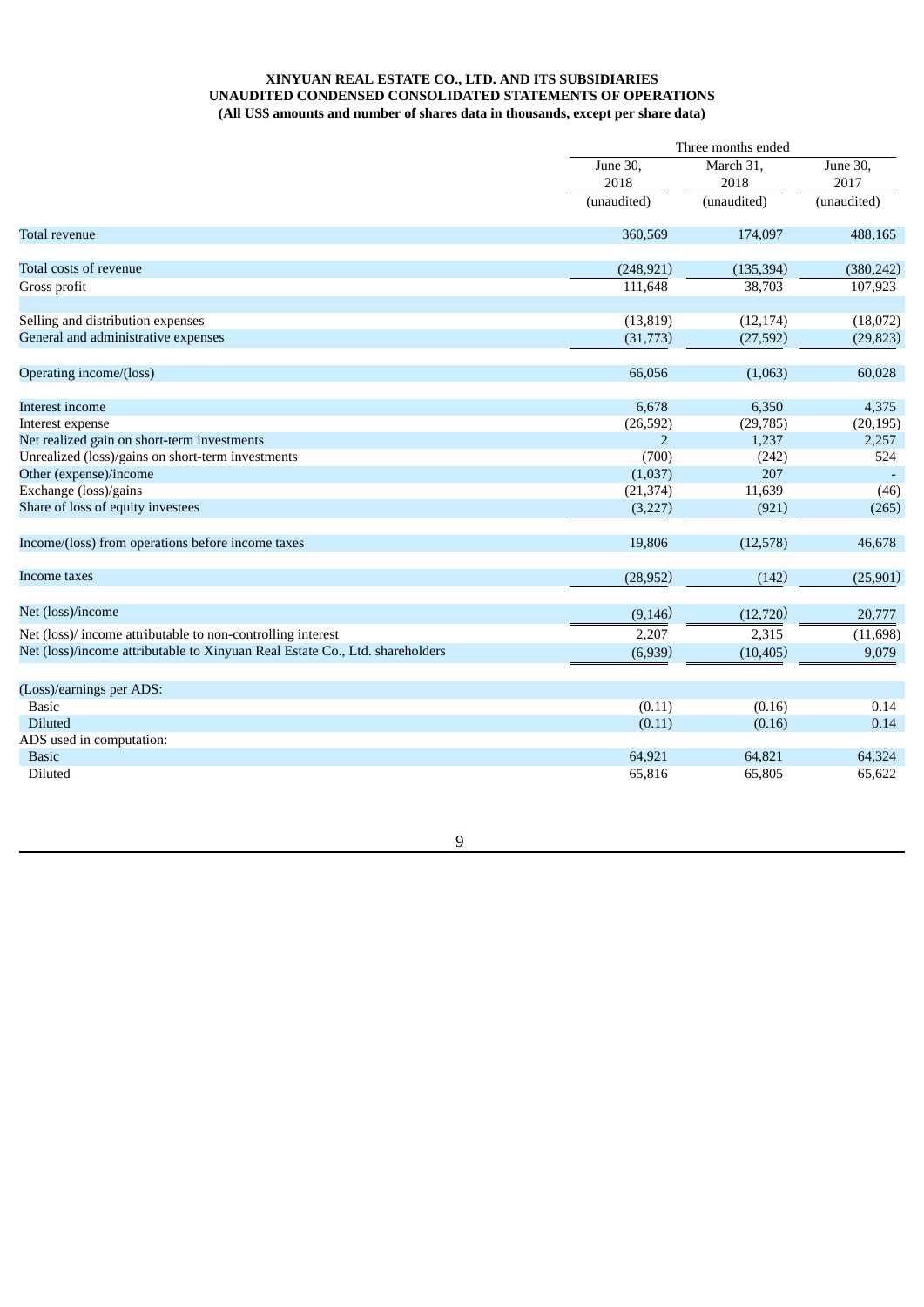## **XINYUAN REAL ESTATE CO., LTD. AND ITS SUBSIDIARIES UNAUDITED CONDENSED CONSOLIDATED STATEMENTS OF OPERATIONS (All US\$ amounts and number of shares data in thousands, except per share data)**

|                                                                              | Three months ended |             |                     |
|------------------------------------------------------------------------------|--------------------|-------------|---------------------|
|                                                                              | June 30,           | March 31,   | June 30,            |
|                                                                              | 2018               | 2018        | 2017<br>(unaudited) |
|                                                                              | (unaudited)        | (unaudited) |                     |
| <b>Total revenue</b>                                                         | 360,569            | 174,097     | 488,165             |
| Total costs of revenue                                                       | (248, 921)         | (135, 394)  | (380, 242)          |
| Gross profit                                                                 | 111,648            | 38,703      | 107,923             |
| Selling and distribution expenses                                            | (13, 819)          | (12, 174)   | (18,072)            |
| General and administrative expenses                                          | (31,773)           | (27, 592)   | (29, 823)           |
| Operating income/(loss)                                                      | 66,056             | (1,063)     | 60,028              |
| Interest income                                                              | 6,678              | 6,350       | 4,375               |
| Interest expense                                                             | (26, 592)          | (29, 785)   | (20, 195)           |
| Net realized gain on short-term investments                                  | $\overline{2}$     | 1,237       | 2,257               |
| Unrealized (loss)/gains on short-term investments                            | (700)              | (242)       | 524                 |
| Other (expense)/income                                                       | (1,037)            | 207         |                     |
| Exchange (loss)/gains                                                        | (21, 374)          | 11,639      | (46)                |
| Share of loss of equity investees                                            | (3,227)            | (921)       | (265)               |
| Income/(loss) from operations before income taxes                            | 19,806             | (12,578)    | 46,678              |
| Income taxes                                                                 | (28, 952)          | (142)       | (25,901)            |
| Net (loss)/income                                                            | (9, 146)           | (12,720)    | 20,777              |
| Net (loss)/ income attributable to non-controlling interest                  | 2,207              | 2,315       | (11, 698)           |
| Net (loss)/income attributable to Xinyuan Real Estate Co., Ltd. shareholders | (6,939)            | (10, 405)   | 9,079               |
| (Loss)/earnings per ADS:                                                     |                    |             |                     |
| <b>Basic</b>                                                                 | (0.11)             | (0.16)      | 0.14                |
| Diluted                                                                      | (0.11)             | (0.16)      | 0.14                |
| ADS used in computation:                                                     |                    |             |                     |
| <b>Basic</b>                                                                 | 64,921             | 64,821      | 64,324              |
| Diluted                                                                      | 65,816             | 65,805      | 65,622              |

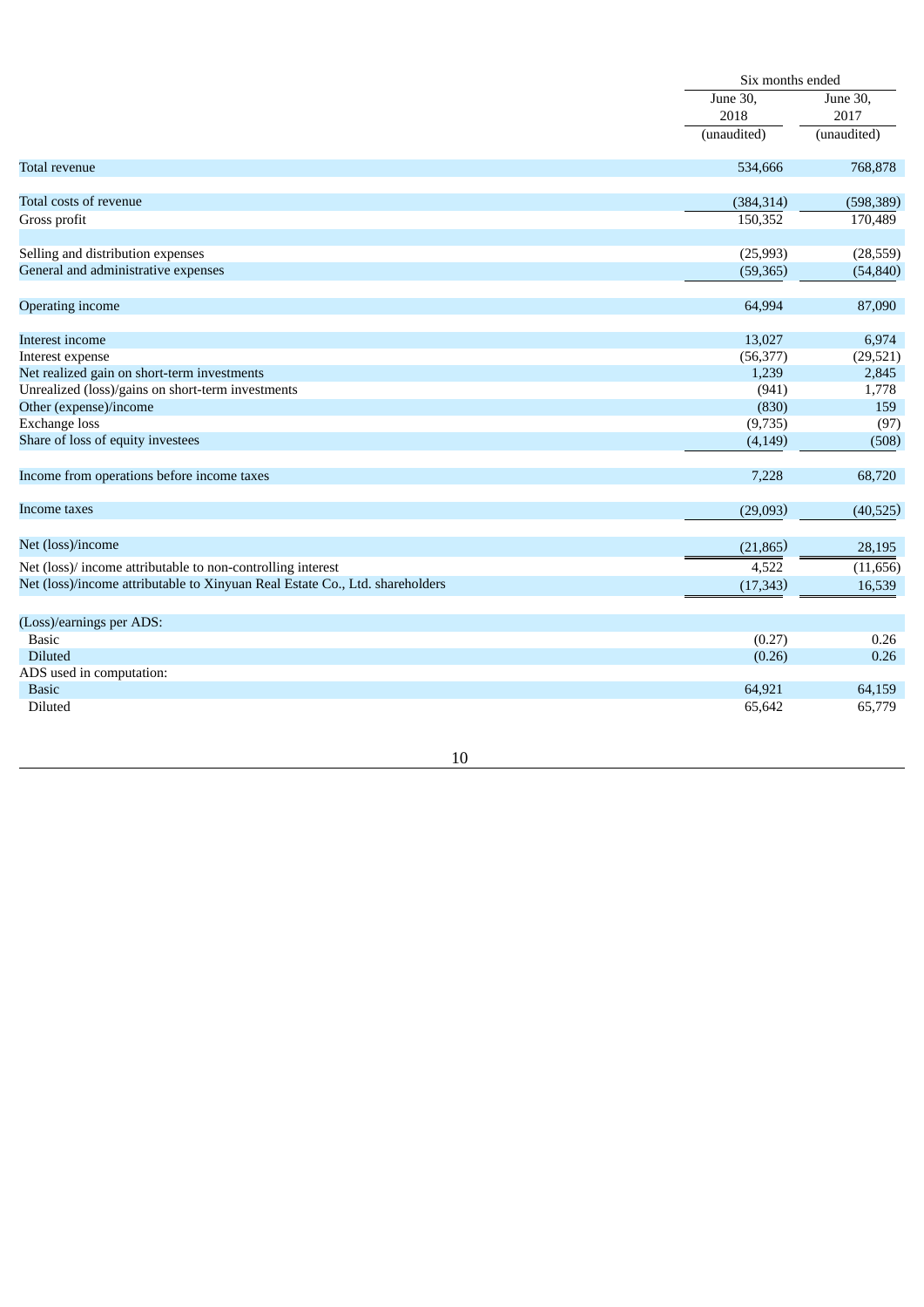|                                                                              | Six months ended |                                 |
|------------------------------------------------------------------------------|------------------|---------------------------------|
|                                                                              | June 30,         | June 30,<br>2017<br>(unaudited) |
|                                                                              | 2018             |                                 |
|                                                                              | (unaudited)      |                                 |
| <b>Total revenue</b>                                                         | 534,666          | 768,878                         |
| Total costs of revenue                                                       | (384, 314)       | (598, 389)                      |
| Gross profit                                                                 | 150,352          | 170,489                         |
| Selling and distribution expenses                                            | (25, 993)        | (28, 559)                       |
| General and administrative expenses                                          | (59, 365)        | (54, 840)                       |
| Operating income                                                             | 64,994           | 87,090                          |
| Interest income                                                              | 13,027           | 6,974                           |
| Interest expense                                                             | (56, 377)        | (29, 521)                       |
| Net realized gain on short-term investments                                  | 1,239            | 2,845                           |
| Unrealized (loss)/gains on short-term investments                            | (941)            | 1,778                           |
| Other (expense)/income                                                       | (830)            | 159                             |
| <b>Exchange loss</b>                                                         | (9,735)          | (97)                            |
| Share of loss of equity investees                                            | (4, 149)         | (508)                           |
| Income from operations before income taxes                                   | 7,228            | 68,720                          |
| Income taxes                                                                 | (29,093)         | (40, 525)                       |
| Net (loss)/income                                                            | (21, 865)        | 28,195                          |
| Net (loss)/ income attributable to non-controlling interest                  | 4,522            | (11, 656)                       |
| Net (loss)/income attributable to Xinyuan Real Estate Co., Ltd. shareholders | (17, 343)        | 16,539                          |
| (Loss)/earnings per ADS:                                                     |                  |                                 |
| <b>Basic</b>                                                                 | (0.27)           | 0.26                            |
| <b>Diluted</b>                                                               | (0.26)           | 0.26                            |
| ADS used in computation:                                                     |                  |                                 |
| <b>Basic</b>                                                                 | 64,921           | 64,159                          |
| Diluted                                                                      | 65,642           | 65,779                          |
|                                                                              |                  |                                 |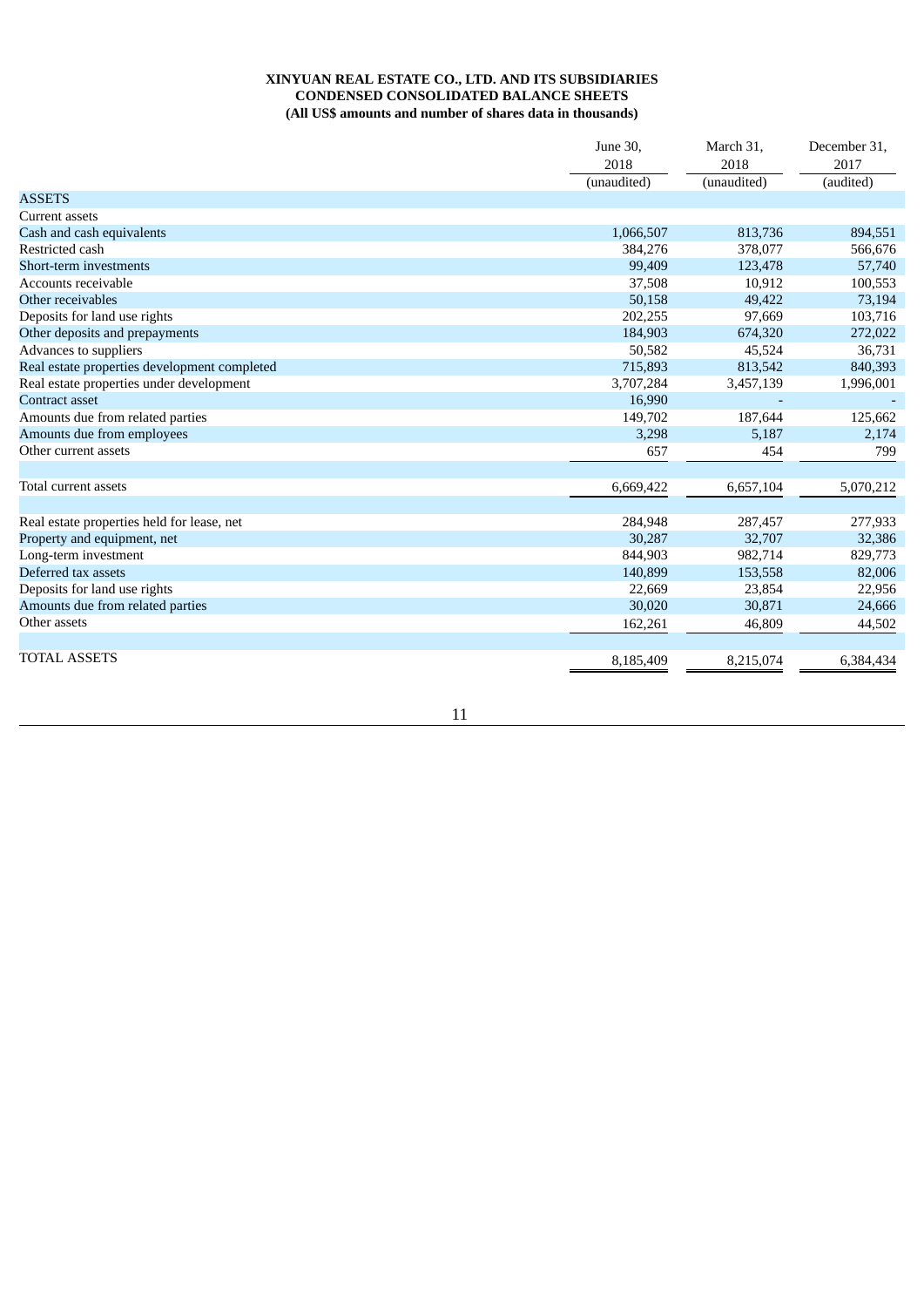## **XINYUAN REAL ESTATE CO., LTD. AND ITS SUBSIDIARIES CONDENSED CONSOLIDATED BALANCE SHEETS (All US\$ amounts and number of shares data in thousands)**

|                                              | June 30,            | March 31,           | December 31,      |
|----------------------------------------------|---------------------|---------------------|-------------------|
|                                              | 2018<br>(unaudited) | 2018<br>(unaudited) | 2017<br>(audited) |
| <b>ASSETS</b>                                |                     |                     |                   |
| Current assets                               |                     |                     |                   |
| Cash and cash equivalents                    | 1,066,507           | 813,736             | 894,551           |
| Restricted cash                              | 384,276             | 378,077             | 566,676           |
| Short-term investments                       | 99,409              | 123,478             | 57,740            |
| Accounts receivable                          | 37,508              | 10,912              | 100,553           |
| Other receivables                            | 50,158              | 49,422              | 73,194            |
| Deposits for land use rights                 | 202,255             | 97,669              | 103,716           |
| Other deposits and prepayments               | 184,903             | 674,320             | 272,022           |
| Advances to suppliers                        | 50,582              | 45,524              | 36,731            |
| Real estate properties development completed | 715,893             | 813,542             | 840,393           |
| Real estate properties under development     | 3,707,284           | 3,457,139           | 1,996,001         |
| Contract asset                               | 16,990              |                     |                   |
| Amounts due from related parties             | 149,702             | 187,644             | 125,662           |
| Amounts due from employees                   | 3,298               | 5,187               | 2,174             |
| Other current assets                         | 657                 | 454                 | 799               |
|                                              |                     |                     |                   |
| Total current assets                         | 6,669,422           | 6,657,104           | 5,070,212         |
|                                              |                     |                     |                   |
| Real estate properties held for lease, net   | 284,948             | 287,457             | 277,933           |
| Property and equipment, net                  | 30,287              | 32,707              | 32,386            |
| Long-term investment                         | 844,903             | 982,714             | 829,773           |
| Deferred tax assets                          | 140,899             | 153,558             | 82,006            |
| Deposits for land use rights                 | 22,669              | 23,854              | 22,956            |
| Amounts due from related parties             | 30,020              | 30,871              | 24,666            |
| Other assets                                 | 162,261             | 46,809              | 44,502            |
|                                              |                     |                     |                   |
| <b>TOTAL ASSETS</b>                          | 8,185,409           | 8,215,074           | 6,384,434         |